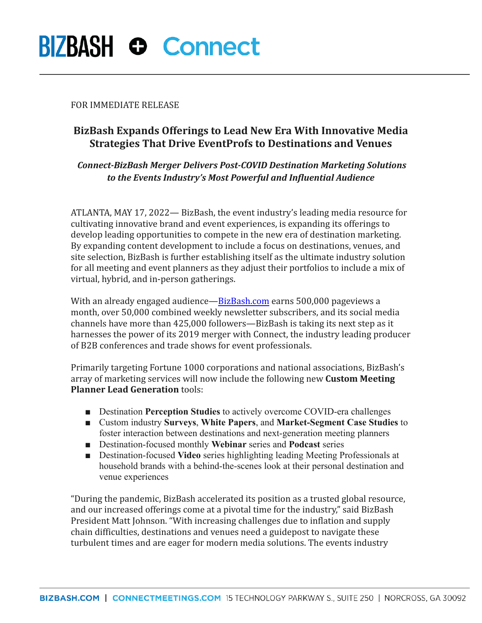## **BIZBASH O Connect**

### FOR IMMEDIATE RELEASE

## **BizBash Expands Offerings to Lead New Era With Innovative Media Strategies That Drive EventProfs to Destinations and Venues**

### *Connect-BizBash Merger Delivers Post-COVID Destination Marketing Solutions to the Events Industry's Most Powerful and Influential Audience*

ATLANTA, MAY 17, 2022— BizBash, the event industry's leading media resource for cultivating innovative brand and event experiences, is expanding its offerings to develop leading opportunities to compete in the new era of destination marketing. By expanding content development to include a focus on destinations, venues, and site selection, BizBash is further establishing itself as the ultimate industry solution for all meeting and event planners as they adjust their portfolios to include a mix of virtual, hybrid, and in-person gatherings.

With an already engaged audience[—BizBash.com](http://bizbash.com) earns 500,000 pageviews a month, over 50,000 combined weekly newsletter subscribers, and its social media channels have more than 425,000 followers—BizBash is taking its next step as it harnesses the power of its 2019 merger with Connect, the industry leading producer of B2B conferences and trade shows for event professionals.

Primarily targeting Fortune 1000 corporations and national associations, BizBash's array of marketing services will now include the following new **Custom Meeting Planner Lead Generation** tools:

- Destination **Perception Studies** to actively overcome COVID-era challenges
- Custom industry **Surveys**, **White Papers**, and **Market-Segment** Case Studies to foster interaction between destinations and next-generation meeting planners
- Destination-focused monthly **Webinar** series and **Podcast** series
- Destination-focused **Video** series highlighting leading Meeting Professionals at household brands with a behind-the-scenes look at their personal destination and venue experiences

"During the pandemic, BizBash accelerated its position as a trusted global resource, and our increased offerings come at a pivotal time for the industry," said BizBash President Matt Johnson. "With increasing challenges due to inflation and supply chain difficulties, destinations and venues need a guidepost to navigate these turbulent times and are eager for modern media solutions. The events industry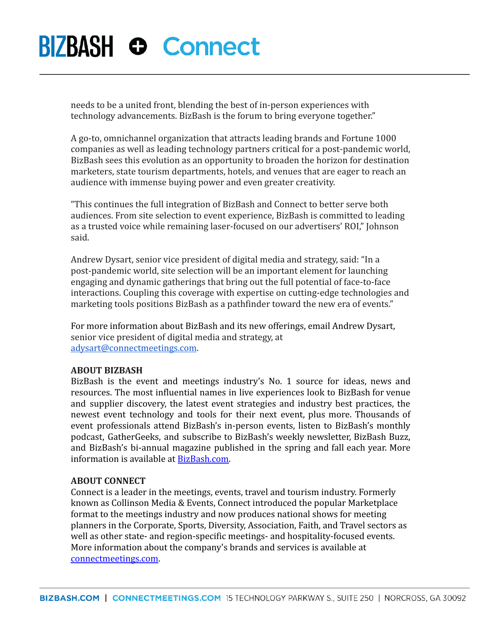# **BIZBASH O Connect**

needs to be a united front, blending the best of in-person experiences with technology advancements. BizBash is the forum to bring everyone together."

A go-to, omnichannel organization that attracts leading brands and Fortune 1000 companies as well as leading technology partners critical for a post-pandemic world, BizBash sees this evolution as an opportunity to broaden the horizon for destination marketers, state tourism departments, hotels, and venues that are eager to reach an audience with immense buying power and even greater creativity.

"This continues the full integration of BizBash and Connect to better serve both audiences. From site selection to event experience, BizBash is committed to leading as a trusted voice while remaining laser-focused on our advertisers' ROI," Johnson said.

Andrew Dysart, senior vice president of digital media and strategy, said: "In a post-pandemic world, site selection will be an important element for launching engaging and dynamic gatherings that bring out the full potential of face-to-face interactions. Coupling this coverage with expertise on cutting-edge technologies and marketing tools positions BizBash as a pathfinder toward the new era of events."

For more information about BizBash and its new offerings, email Andrew Dysart, senior vice president of digital media and strategy, at [adysart@connectmeetings.com](mailto:adysart@connectmeetings.com).

#### **ABOUT BIZBASH**

BizBash is the event and meetings industry's No. 1 source for ideas, news and resources. The most influential names in live experiences look to BizBash for venue and supplier discovery, the latest event strategies and industry best practices, the newest event technology and tools for their next event, plus more. Thousands of event professionals attend BizBash's in-person events, listen to BizBash's monthly podcast, GatherGeeks, and subscribe to BizBash's weekly newsletter, BizBash Buzz, and BizBash's bi-annual magazine published in the spring and fall each year. More information is available at BizBash.com.

#### **ABOUT CONNECT**

Connect is a leader in the meetings, events, travel and tourism industry. Formerly known as Collinson Media & Events, Connect introduced the popular Marketplace format to the meetings industry and now produces national shows for meeting planners in the Corporate, Sports, Diversity, Association, Faith, and Travel sectors as well as other state- and region-specific meetings- and hospitality-focused events. More information about the company's brands and services is available at connectmeetings.com.